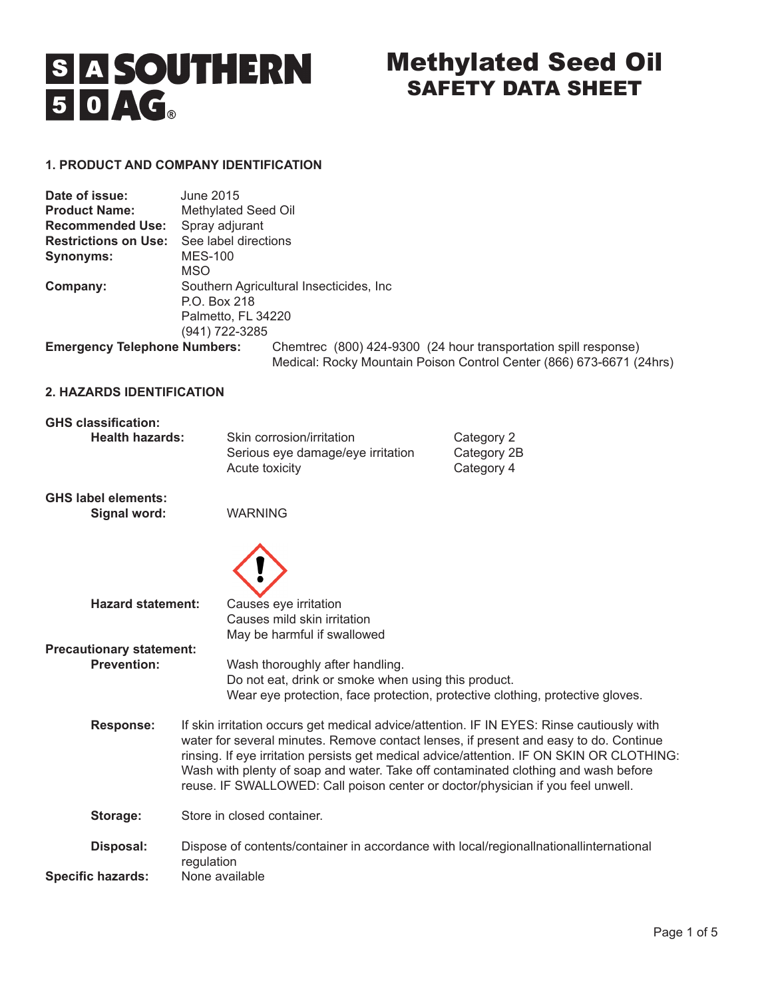# S A SOUTHERN<br>5 0 AG.

# Methylated Seed Oil SAFETY DATA SHEET

# **1. PRODUCT AND COMPANY IDENTIFICATION**

| Date of issue:                      | June 2015                                            |                                                                                                                                         |  |
|-------------------------------------|------------------------------------------------------|-----------------------------------------------------------------------------------------------------------------------------------------|--|
| <b>Product Name:</b>                | Methylated Seed Oil                                  |                                                                                                                                         |  |
| <b>Recommended Use:</b>             | Spray adjurant                                       |                                                                                                                                         |  |
| <b>Restrictions on Use:</b>         | See label directions                                 |                                                                                                                                         |  |
| Synonyms:                           | <b>MES-100</b>                                       |                                                                                                                                         |  |
|                                     | MSO                                                  |                                                                                                                                         |  |
| Company:                            | Southern Agricultural Insecticides, Inc.             |                                                                                                                                         |  |
|                                     | P.O. Box 218<br>Palmetto, FL 34220<br>(941) 722-3285 |                                                                                                                                         |  |
|                                     |                                                      |                                                                                                                                         |  |
|                                     |                                                      |                                                                                                                                         |  |
| <b>Emergency Telephone Numbers:</b> |                                                      | Chemirec (800) 424-9300 (24 hour transportation spill response)<br>Medical: Rocky Mountain Poison Control Center (866) 673-6671 (24hrs) |  |

# **2. HAZARDS IDENTIFICATION**

# **GHS classification:**

| <b>Health hazards:</b> | Skin corrosion/irritation<br>Serious eye damage/eye irritation<br>Acute toxicity | Category 2<br>Category 2B<br>Category 4 |
|------------------------|----------------------------------------------------------------------------------|-----------------------------------------|
|                        |                                                                                  |                                         |

**GHS label elements: Signal word:** WARNING



| <b>Hazard statement:</b>        | Causes eye irritation<br>Causes mild skin irritation<br>May be harmful if swallowed                                                                                                                                                                                                                                                                                                                                                                      |  |
|---------------------------------|----------------------------------------------------------------------------------------------------------------------------------------------------------------------------------------------------------------------------------------------------------------------------------------------------------------------------------------------------------------------------------------------------------------------------------------------------------|--|
| <b>Precautionary statement:</b> |                                                                                                                                                                                                                                                                                                                                                                                                                                                          |  |
| <b>Prevention:</b>              | Wash thoroughly after handling.<br>Do not eat, drink or smoke when using this product.<br>Wear eye protection, face protection, protective clothing, protective gloves.                                                                                                                                                                                                                                                                                  |  |
| <b>Response:</b>                | If skin irritation occurs get medical advice/attention. IF IN EYES: Rinse cautiously with<br>water for several minutes. Remove contact lenses, if present and easy to do. Continue<br>rinsing. If eye irritation persists get medical advice/attention. IF ON SKIN OR CLOTHING:<br>Wash with plenty of soap and water. Take off contaminated clothing and wash before<br>reuse. IF SWALLOWED: Call poison center or doctor/physician if you feel unwell. |  |
| Storage:                        | Store in closed container.                                                                                                                                                                                                                                                                                                                                                                                                                               |  |
| Disposal:                       | Dispose of contents/container in accordance with local/regionalInationalInternational<br>regulation                                                                                                                                                                                                                                                                                                                                                      |  |
| <b>Specific hazards:</b>        | None available                                                                                                                                                                                                                                                                                                                                                                                                                                           |  |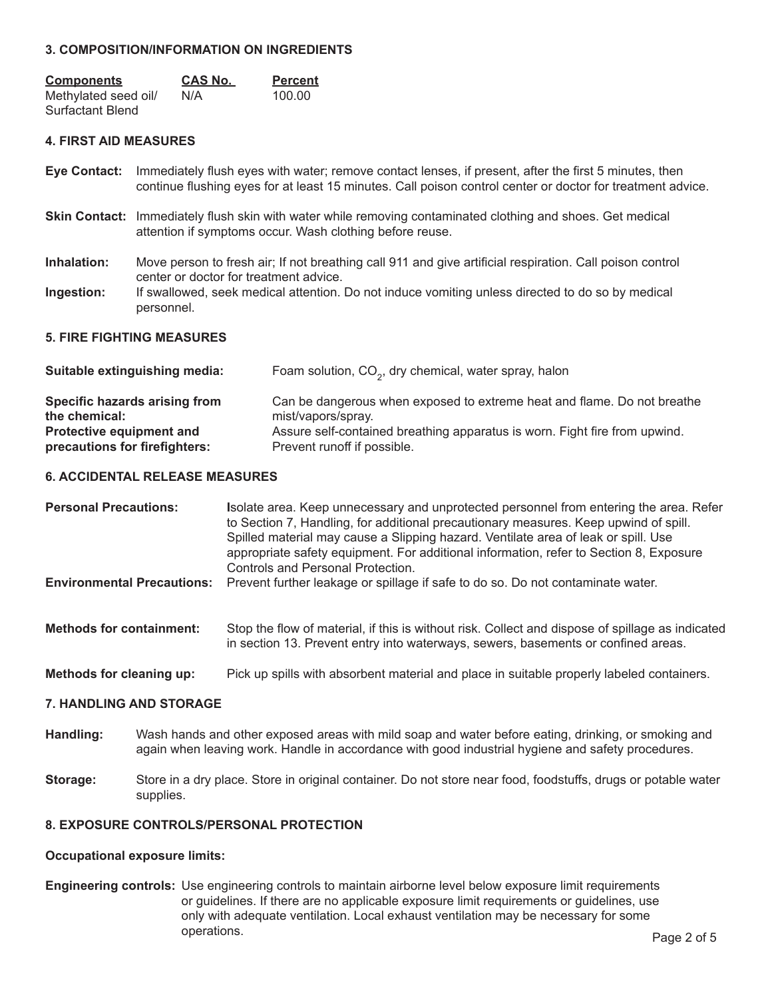# **3. COMPOSITION/INFORMATION ON INGREDIENTS**

| <b>Components</b><br>Methylated seed oil/<br>Surfactant Blend |                                                                                                                | <u>CAS No.</u><br>N/A | <b>Percent</b><br>100.00                                                                                                                                                                                            |
|---------------------------------------------------------------|----------------------------------------------------------------------------------------------------------------|-----------------------|---------------------------------------------------------------------------------------------------------------------------------------------------------------------------------------------------------------------|
| <b>4. FIRST AID MEASURES</b>                                  |                                                                                                                |                       |                                                                                                                                                                                                                     |
| <b>Eye Contact:</b>                                           |                                                                                                                |                       | Immediately flush eyes with water; remove contact lenses, if present, after the first 5 minutes, then<br>continue flushing eyes for at least 15 minutes. Call poison control center or doctor for treatment advice. |
|                                                               |                                                                                                                |                       | <b>Skin Contact:</b> Immediately flush skin with water while removing contaminated clothing and shoes. Get medical<br>attention if symptoms occur. Wash clothing before reuse.                                      |
| Inhalation:                                                   |                                                                                                                |                       | Move person to fresh air; If not breathing call 911 and give artificial respiration. Call poison control<br>center or doctor for treatment advice.                                                                  |
| Ingestion:                                                    | If swallowed, seek medical attention. Do not induce vomiting unless directed to do so by medical<br>personnel. |                       |                                                                                                                                                                                                                     |
| <b>5. FIRE FIGHTING MEASURES</b>                              |                                                                                                                |                       |                                                                                                                                                                                                                     |
| Suitable extinguishing media:                                 |                                                                                                                |                       | Foam solution, CO <sub>2</sub> , dry chemical, water spray, halon                                                                                                                                                   |

| Specific hazards arising from   | Can be dangerous when exposed to extreme heat and flame. Do not breathe    |
|---------------------------------|----------------------------------------------------------------------------|
| the chemical:                   | mist/vapors/spray.                                                         |
| <b>Protective equipment and</b> | Assure self-contained breathing apparatus is worn. Fight fire from upwind. |
| precautions for firefighters:   | Prevent runoff if possible.                                                |

### **6. ACCIDENTAL RELEASE MEASURES**

| <b>Personal Precautions:</b>      | Isolate area. Keep unnecessary and unprotected personnel from entering the area. Refer<br>to Section 7, Handling, for additional precautionary measures. Keep upwind of spill.<br>Spilled material may cause a Slipping hazard. Ventilate area of leak or spill. Use<br>appropriate safety equipment. For additional information, refer to Section 8, Exposure<br>Controls and Personal Protection. |
|-----------------------------------|-----------------------------------------------------------------------------------------------------------------------------------------------------------------------------------------------------------------------------------------------------------------------------------------------------------------------------------------------------------------------------------------------------|
| <b>Environmental Precautions:</b> | Prevent further leakage or spillage if safe to do so. Do not contaminate water.                                                                                                                                                                                                                                                                                                                     |
| <b>Methods for containment:</b>   | Stop the flow of material, if this is without risk. Collect and dispose of spillage as indicated<br>in section 13. Prevent entry into waterways, sewers, basements or confined areas.                                                                                                                                                                                                               |
| Methods for cleaning up:          | Pick up spills with absorbent material and place in suitable properly labeled containers.                                                                                                                                                                                                                                                                                                           |

# **7. HANDLING AND STORAGE**

- **Handling:** Wash hands and other exposed areas with mild soap and water before eating, drinking, or smoking and again when leaving work. Handle in accordance with good industrial hygiene and safety procedures.
- **Storage:** Store in a dry place. Store in original container. Do not store near food, foodstuffs, drugs or potable water supplies.

# **8. EXPOSURE CONTROLS/PERSONAL PROTECTION**

### **Occupational exposure limits:**

**Engineering controls:** Use engineering controls to maintain airborne level below exposure limit requirements or guidelines. If there are no applicable exposure limit requirements or guidelines, use only with adequate ventilation. Local exhaust ventilation may be necessary for some operations. The contract of the contract of the contract of the contract of the contract of the contract of the contract of the contract of the contract of the contract of the contract of the contract of the contract of th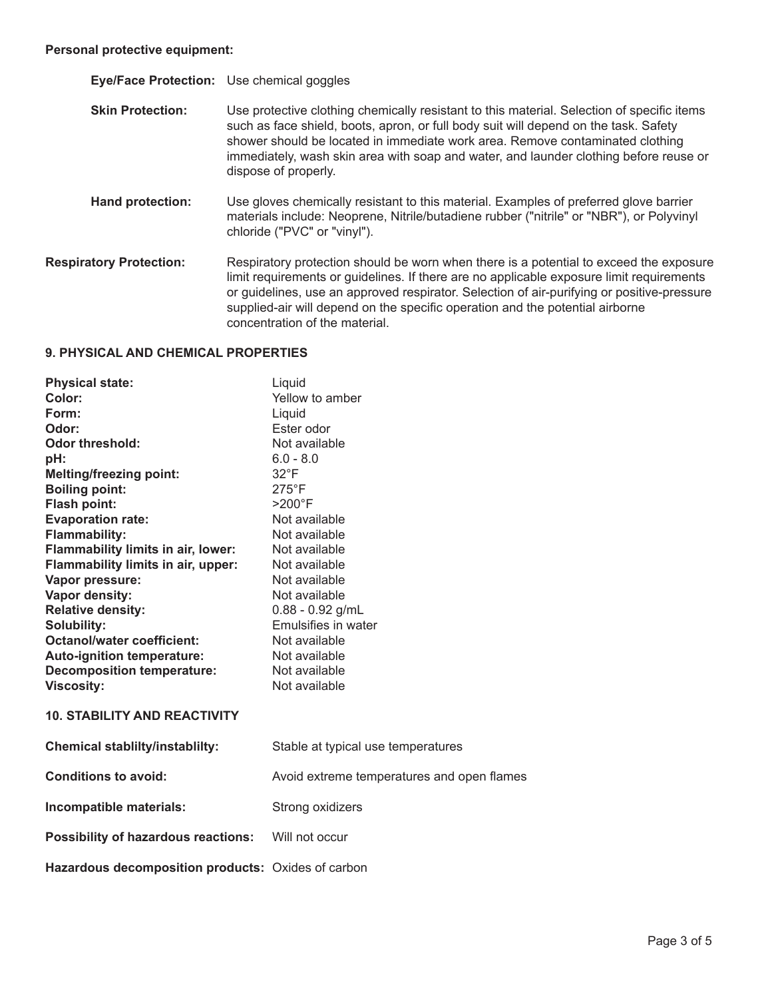| Eye/Face Protection: Use chemical goggles |                                                                                                                                                                                                                                                                                                                                                                                                     |
|-------------------------------------------|-----------------------------------------------------------------------------------------------------------------------------------------------------------------------------------------------------------------------------------------------------------------------------------------------------------------------------------------------------------------------------------------------------|
| <b>Skin Protection:</b>                   | Use protective clothing chemically resistant to this material. Selection of specific items<br>such as face shield, boots, apron, or full body suit will depend on the task. Safety<br>shower should be located in immediate work area. Remove contaminated clothing<br>immediately, wash skin area with soap and water, and launder clothing before reuse or<br>dispose of properly.                |
| <b>Hand protection:</b>                   | Use gloves chemically resistant to this material. Examples of preferred glove barrier<br>materials include: Neoprene, Nitrile/butadiene rubber ("nitrile" or "NBR"), or Polyvinyl<br>chloride ("PVC" or "vinyl").                                                                                                                                                                                   |
| <b>Respiratory Protection:</b>            | Respiratory protection should be worn when there is a potential to exceed the exposure<br>limit requirements or guidelines. If there are no applicable exposure limit requirements<br>or guidelines, use an approved respirator. Selection of air-purifying or positive-pressure<br>supplied-air will depend on the specific operation and the potential airborne<br>concentration of the material. |

# **9. PHYSICAL AND CHEMICAL PROPERTIES**

| <b>Physical state:</b>                             | Liquid                                     |
|----------------------------------------------------|--------------------------------------------|
| Color:                                             | Yellow to amber                            |
| Form:                                              | Liquid                                     |
| Odor:                                              | Ester odor                                 |
| <b>Odor threshold:</b>                             | Not available                              |
| pH:                                                | $6.0 - 8.0$                                |
| <b>Melting/freezing point:</b>                     | $32^{\circ}F$                              |
| <b>Boiling point:</b>                              | $275^{\circ}$ F                            |
| Flash point:                                       | $>200^\circ F$                             |
| <b>Evaporation rate:</b>                           | Not available                              |
| <b>Flammability:</b>                               | Not available                              |
| Flammability limits in air, lower:                 | Not available                              |
| Flammability limits in air, upper:                 | Not available                              |
| Vapor pressure:                                    | Not available                              |
| Vapor density:                                     | Not available                              |
| <b>Relative density:</b>                           | $0.88 - 0.92$ g/mL                         |
| Solubility:                                        | Emulsifies in water                        |
| <b>Octanol/water coefficient:</b>                  | Not available                              |
| Auto-ignition temperature:                         | Not available                              |
| <b>Decomposition temperature:</b>                  | Not available                              |
| <b>Viscosity:</b>                                  | Not available                              |
| <b>10. STABILITY AND REACTIVITY</b>                |                                            |
| <b>Chemical stablilty/instablilty:</b>             | Stable at typical use temperatures         |
| <b>Conditions to avoid:</b>                        | Avoid extreme temperatures and open flames |
| Incompatible materials:                            | Strong oxidizers                           |
| <b>Possibility of hazardous reactions:</b>         | Will not occur                             |
| Hazardous decomposition products: Oxides of carbon |                                            |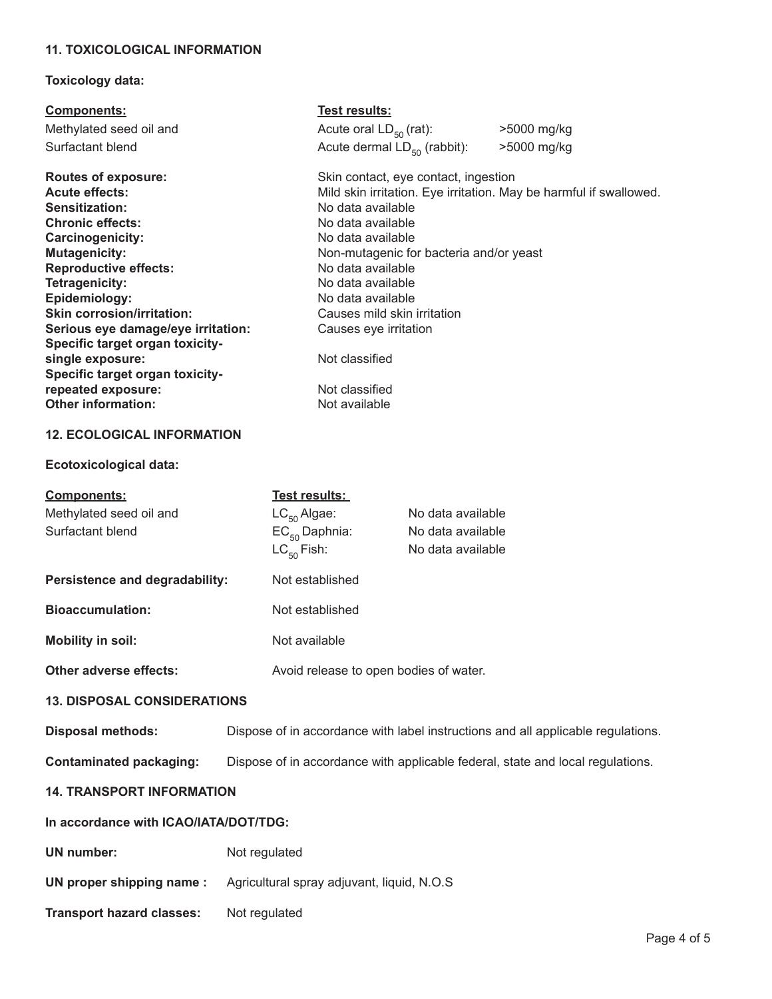# **11. TOXICOLOGICAL INFORMATION**

# **Toxicology data:**

| <b>Components:</b>                 | Test results:                                                      |             |
|------------------------------------|--------------------------------------------------------------------|-------------|
| Methylated seed oil and            | Acute oral $LD_{50}$ (rat):                                        | >5000 mg/kg |
| Surfactant blend                   | Acute dermal $LD_{50}$ (rabbit):                                   | >5000 mg/kg |
| <b>Routes of exposure:</b>         | Skin contact, eye contact, ingestion                               |             |
| <b>Acute effects:</b>              | Mild skin irritation. Eye irritation. May be harmful if swallowed. |             |
| Sensitization:                     | No data available                                                  |             |
| <b>Chronic effects:</b>            | No data available                                                  |             |
| Carcinogenicity:                   | No data available                                                  |             |
| <b>Mutagenicity:</b>               | Non-mutagenic for bacteria and/or yeast                            |             |
| <b>Reproductive effects:</b>       | No data available                                                  |             |
| Tetragenicity:                     | No data available                                                  |             |
| Epidemiology:                      | No data available                                                  |             |
| <b>Skin corrosion/irritation:</b>  | Causes mild skin irritation                                        |             |
| Serious eye damage/eye irritation: | Causes eye irritation                                              |             |
| Specific target organ toxicity-    |                                                                    |             |
| single exposure:                   | Not classified                                                     |             |
| Specific target organ toxicity-    |                                                                    |             |
| repeated exposure:                 | Not classified                                                     |             |
| <b>Other information:</b>          | Not available                                                      |             |
| <b>12. ECOLOGICAL INFORMATION</b>  |                                                                    |             |

# **Ecotoxicological data:**

| <b>Components:</b>                    | <u>Test results: </u>                                                            |                                        |  |  |
|---------------------------------------|----------------------------------------------------------------------------------|----------------------------------------|--|--|
| Methylated seed oil and               | $LC_{50}$ Algae:                                                                 | No data available                      |  |  |
| Surfactant blend                      | $EC_{50}$ Daphnia:                                                               | No data available                      |  |  |
|                                       | $LC_{50}$ Fish:                                                                  | No data available                      |  |  |
| Persistence and degradability:        |                                                                                  | Not established                        |  |  |
| <b>Bioaccumulation:</b>               |                                                                                  | Not established                        |  |  |
| <b>Mobility in soil:</b>              |                                                                                  | Not available                          |  |  |
| Other adverse effects:                |                                                                                  | Avoid release to open bodies of water. |  |  |
| <b>13. DISPOSAL CONSIDERATIONS</b>    |                                                                                  |                                        |  |  |
| <b>Disposal methods:</b>              | Dispose of in accordance with label instructions and all applicable regulations. |                                        |  |  |
| <b>Contaminated packaging:</b>        | Dispose of in accordance with applicable federal, state and local regulations.   |                                        |  |  |
| <b>14. TRANSPORT INFORMATION</b>      |                                                                                  |                                        |  |  |
| In accordance with ICAO/IATA/DOT/TDG: |                                                                                  |                                        |  |  |
| <b>UN</b> number:                     | Not regulated                                                                    |                                        |  |  |
| UN proper shipping name:              | Agricultural spray adjuvant, liquid, N.O.S.                                      |                                        |  |  |
| <b>Transport hazard classes:</b>      | Not regulated                                                                    |                                        |  |  |